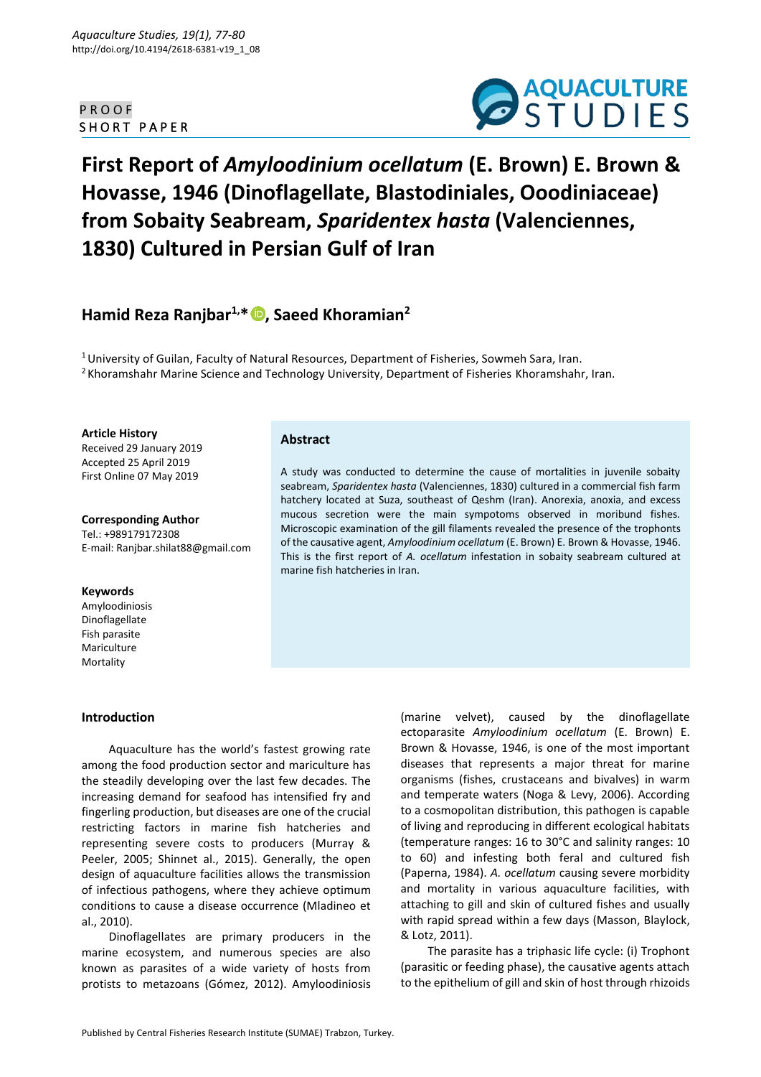## P R O O F SHORT PAPER



# **First Report of** *Amyloodinium ocellatum* **(E. Brown) E. Brown & Hovasse, 1946 (Dinoflagellate, Blastodiniales, Ooodiniaceae) from Sobaity Seabream,** *Sparidentex hasta* **(Valenciennes, 1830) Cultured in Persian Gulf of Iran**

## **Hamid Reza Ranjbar1,\* [,](https://orcid.org/0000-0002-0728-8137) Saeed Khoramian<sup>2</sup>**

 $1$ University of Guilan, Faculty of Natural Resources, Department of Fisheries, Sowmeh Sara, Iran.  $<sup>2</sup>$ Khoramshahr Marine Science and Technology University, Department of Fisheries Khoramshahr, Iran.</sup>

marine fish hatcheries in Iran.

**Abstract**

**Article History**

Received 29 January 2019 Accepted 25 April 2019 First Online 07 May 2019

**Corresponding Author** Tel.: +989179172308 E-mail: Ranjbar.shilat88@gmail.com

#### **Keywords**

Amyloodiniosis Dinoflagellate Fish parasite Mariculture Mortality

### **Introduction**

Aquaculture has the world's fastest growing rate among the food production sector and mariculture has the steadily developing over the last few decades. The increasing demand for seafood has intensified fry and fingerling production, but diseases are one of the crucial restricting factors in marine fish hatcheries and representing severe costs to producers (Murray & Peeler, 2005; Shinnet al., 2015). Generally, the open design of aquaculture facilities allows the transmission of infectious pathogens, where they achieve optimum conditions to cause a disease occurrence (Mladineo et al., 2010).

Dinoflagellates are primary producers in the marine ecosystem, and numerous species are also known as parasites of a wide variety of hosts from protists to metazoans (Gómez, 2012). Amyloodiniosis

(marine velvet), caused by the dinoflagellate ectoparasite *Amyloodinium ocellatum* (E. Brown) E. Brown & Hovasse, 1946, is one of the most important diseases that represents a major threat for marine organisms (fishes, crustaceans and bivalves) in warm and temperate waters (Noga & Levy, 2006). According to a cosmopolitan distribution, this pathogen is capable of living and reproducing in different ecological habitats (temperature ranges: 16 to 30°C and salinity ranges: 10 to 60) and infesting both feral and cultured fish (Paperna, 1984). *A. ocellatum* causing severe morbidity and mortality in various aquaculture facilities, with attaching to gill and skin of cultured fishes and usually with rapid spread within a few days (Masson, Blaylock, & Lotz, 2011).

A study was conducted to determine the cause of mortalities in juvenile sobaity seabream, *Sparidentex hasta* (Valenciennes, 1830) cultured in a commercial fish farm hatchery located at Suza, southeast of Qeshm (Iran). Anorexia, anoxia, and excess mucous secretion were the main sympotoms observed in moribund fishes. Microscopic examination of the gill filaments revealed the presence of the trophonts of the causative agent, *Amyloodinium ocellatum* (E. Brown) E. Brown & Hovasse, 1946. This is the first report of *A. ocellatum* infestation in sobaity seabream cultured at

> The parasite has a triphasic life cycle: (i) Trophont (parasitic or feeding phase), the causative agents attach to the epithelium of gill and skin of host through rhizoids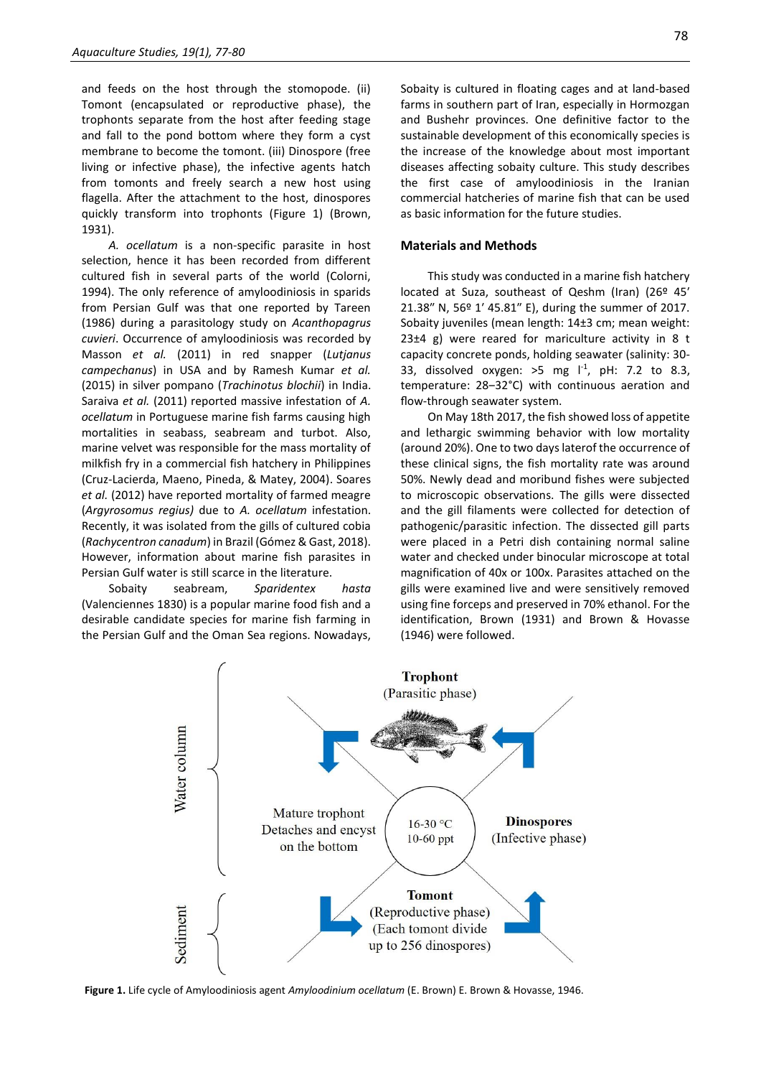and feeds on the host through the stomopode. (ii) Tomont (encapsulated or reproductive phase), the trophonts separate from the host after feeding stage and fall to the pond bottom where they form a cyst membrane to become the tomont. (iii) Dinospore (free living or infective phase), the infective agents hatch from tomonts and freely search a new host using flagella. After the attachment to the host, dinospores quickly transform into trophonts (Figure 1) (Brown, 1931).

*A. ocellatum* is a non-specific parasite in host selection, hence it has been recorded from different cultured fish in several parts of the world (Colorni, 1994). The only reference of amyloodiniosis in sparids from Persian Gulf was that one reported by Tareen (1986) during a parasitology study on *Acanthopagrus cuvieri*. Occurrence of amyloodiniosis was recorded by Masson *et al.* (2011) in red snapper (*Lutjanus campechanus*) in USA and by Ramesh Kumar *et al.* (2015) in silver pompano (*Trachinotus blochii*) in India. Saraiva *et al.* (2011) reported massive infestation of *A. ocellatum* in Portuguese marine fish farms causing high mortalities in seabass, seabream and turbot. Also, marine velvet was responsible for the mass mortality of milkfish fry in a commercial fish hatchery in Philippines (Cruz-Lacierda, Maeno, Pineda, & Matey, 2004). Soares *et al.* (2012) have reported mortality of farmed meagre (*Argyrosomus regius)* due to *A. ocellatum* infestation. Recently, it was isolated from the gills of cultured cobia (*Rachycentron canadum*) in Brazil (Gómez & Gast, 2018). However, information about marine fish parasites in Persian Gulf water is still scarce in the literature.

Sobaity seabream, *Sparidentex hasta* (Valenciennes 1830) is a popular marine food fish and a desirable candidate species for marine fish farming in the Persian Gulf and the Oman Sea regions. Nowadays, Sobaity is cultured in floating cages and at land-based farms in southern part of Iran, especially in Hormozgan and Bushehr provinces. One definitive factor to the sustainable development of this economically species is the increase of the knowledge about most important diseases affecting sobaity culture. This study describes the first case of amyloodiniosis in the Iranian commercial hatcheries of marine fish that can be used as basic information for the future studies.

#### **Materials and Methods**

This study was conducted in a marine fish hatchery located at Suza, southeast of Qeshm (Iran) (26º 45′ 21.38″ N, 56º 1′ 45.81″ E), during the summer of 2017. Sobaity juveniles (mean length: 14±3 cm; mean weight:  $23±4$  g) were reared for mariculture activity in 8 t capacity concrete ponds, holding seawater (salinity: 30- 33, dissolved oxygen:  $>5$  mg  $1^{-1}$ , pH: 7.2 to 8.3, temperature: 28‒32°C) with continuous aeration and flow-through seawater system.

On May 18th 2017, the fish showed loss of appetite and lethargic swimming behavior with low mortality (around 20%). One to two days laterof the occurrence of these clinical signs, the fish mortality rate was around 50%. Newly dead and moribund fishes were subjected to microscopic observations. The gills were dissected and the gill filaments were collected for detection of pathogenic/parasitic infection. The dissected gill parts were placed in a Petri dish containing normal saline water and checked under binocular microscope at total magnification of 40x or 100x. Parasites attached on the gills were examined live and were sensitively removed using fine forceps and preserved in 70% ethanol. For the identification, Brown (1931) and Brown & Hovasse (1946) were followed.



**Figure 1.** Life cycle of Amyloodiniosis agent *Amyloodinium ocellatum* (E. Brown) E. Brown & Hovasse, 1946.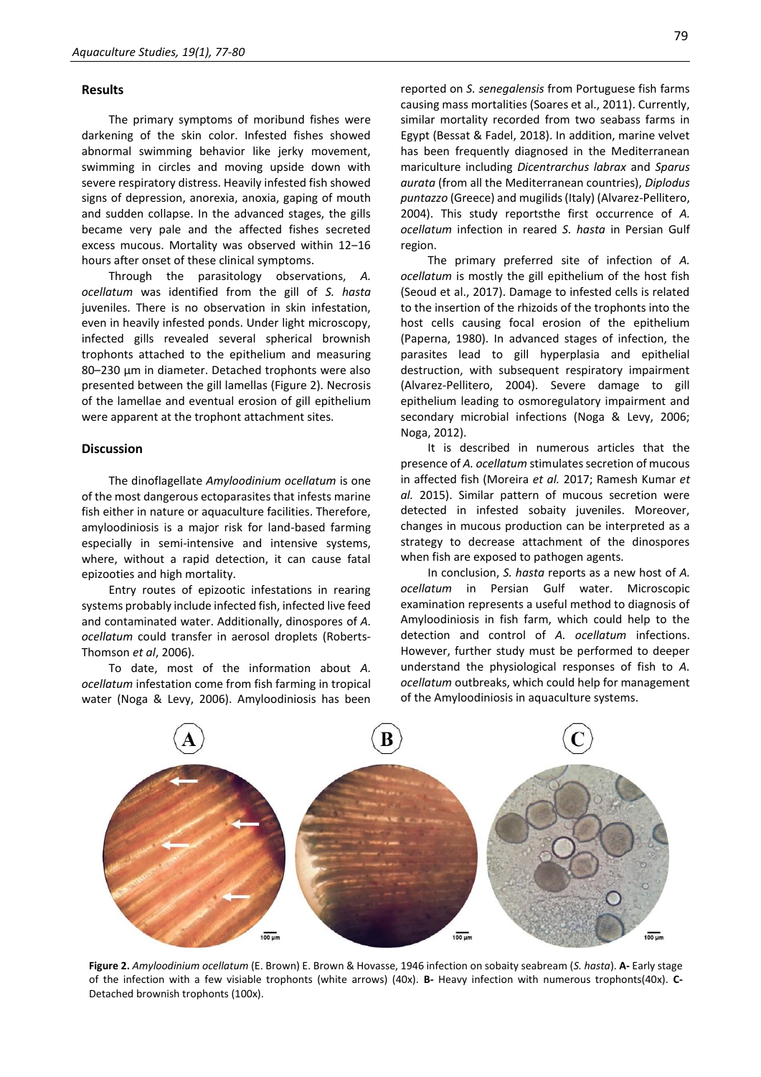#### **Results**

The primary symptoms of moribund fishes were darkening of the skin color. Infested fishes showed abnormal swimming behavior like jerky movement, swimming in circles and moving upside down with severe respiratory distress. Heavily infested fish showed signs of depression, anorexia, anoxia, gaping of mouth and sudden collapse. In the advanced stages, the gills became very pale and the affected fishes secreted excess mucous. Mortality was observed within 12-16 hours after onset of these clinical symptoms.

Through the parasitology observations, *A. ocellatum* was identified from the gill of *S. hasta* juveniles. There is no observation in skin infestation, even in heavily infested ponds. Under light microscopy, infected gills revealed several spherical brownish trophonts attached to the epithelium and measuring 80–230 µm in diameter. Detached trophonts were also presented between the gill lamellas (Figure 2). Necrosis of the lamellae and eventual erosion of gill epithelium were apparent at the trophont attachment sites.

#### **Discussion**

The dinoflagellate *Amyloodinium ocellatum* is one of the most dangerous ectoparasites that infests marine fish either in nature or aquaculture facilities. Therefore, amyloodiniosis is a major risk for land-based farming especially in semi-intensive and intensive systems, where, without a rapid detection, it can cause fatal epizooties and high mortality.

Entry routes of epizootic infestations in rearing systems probably include infected fish, infected live feed and contaminated water. Additionally, dinospores of *A. ocellatum* could transfer in aerosol droplets (Roberts-Thomson *et al*, 2006).

To date, most of the information about *A. ocellatum* infestation come from fish farming in tropical water (Noga & Levy, 2006). Amyloodiniosis has been

reported on *S. senegalensis* from Portuguese fish farms causing mass mortalities (Soares et al., 2011). Currently, similar mortality recorded from two seabass farms in Egypt (Bessat & Fadel, 2018). In addition, marine velvet has been frequently diagnosed in the Mediterranean mariculture including *Dicentrarchus labrax* and *Sparus aurata* (from all the Mediterranean countries), *Diplodus puntazzo* (Greece) and mugilids (Italy) (Alvarez-Pellitero, 2004). This study reportsthe first occurrence of *A. ocellatum* infection in reared *S. hasta* in Persian Gulf region.

The primary preferred site of infection of *A. ocellatum* is mostly the gill epithelium of the host fish (Seoud et al., 2017). Damage to infested cells is related to the insertion of the rhizoids of the trophonts into the host cells causing focal erosion of the epithelium (Paperna, 1980). In advanced stages of infection, the parasites lead to gill hyperplasia and epithelial destruction, with subsequent respiratory impairment (Alvarez-Pellitero, 2004). Severe damage to gill epithelium leading to osmoregulatory impairment and secondary microbial infections (Noga & Levy, 2006; Noga, 2012).

It is described in numerous articles that the presence of *A. ocellatum* stimulates secretion of mucous in affected fish (Moreira *et al.* 2017; Ramesh Kumar *et al.* 2015). Similar pattern of mucous secretion were detected in infested sobaity juveniles. Moreover, changes in mucous production can be interpreted as a strategy to decrease attachment of the dinospores when fish are exposed to pathogen agents.

In conclusion, *S. hasta* reports as a new host of *A. ocellatum* in Persian Gulf water. Microscopic examination represents a useful method to diagnosis of Amyloodiniosis in fish farm, which could help to the detection and control of *A. ocellatum* infections. However, further study must be performed to deeper understand the physiological responses of fish to *A. ocellatum* outbreaks, which could help for management of the Amyloodiniosis in aquaculture systems.



**Figure 2.** *Amyloodinium ocellatum* (E. Brown) E. Brown & Hovasse, 1946 infection on sobaity seabream (*S. hasta*). **A-** Early stage of the infection with a few visiable trophonts (white arrows) (40x). **B-** Heavy infection with numerous trophonts(40x). **C-**Detached brownish trophonts (100x).